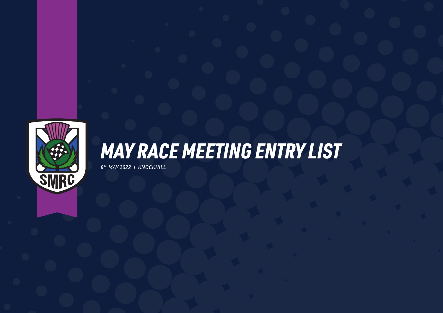

### *MAY RACE MEETING ENTRY LIST*

*8TH MAY 2022 | KNOCKHILL*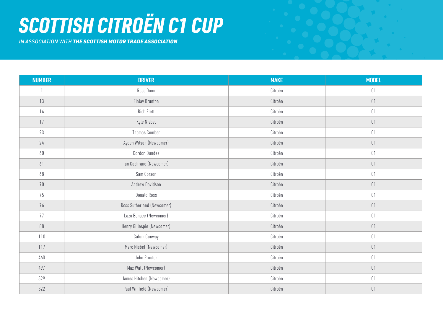# *SCOTTISH CITROËN C1 CUP*

*IN ASSOCIATION WITH THE SCOTTISH MOTOR TRADE ASSOCIATION*

| <b>NUMBER</b> | <b>DRIVER</b>              | <b>MAKE</b> | <b>MODEL</b>    |
|---------------|----------------------------|-------------|-----------------|
|               | Ross Dunn                  | Citroën     | C1              |
| 13            | <b>Finlay Brunton</b>      | Citroën     | C1              |
| 14            | <b>Rich Flett</b>          | Citroën     | $\complement$ l |
| 17            | Kyle Nisbet                | Citroën     | C1              |
| 23            | Thomas Comber              | Citroën     | C1              |
| 24            | Ayden Wilson (Newcomer)    | Citroën     | C1              |
| 60            | Gordon Dundee              | Citroën     | C1              |
| 61            | Ian Cochrane (Newcomer)    | Citroën     | C1              |
| 68            | Sam Corson                 | Citroën     | $\complement$ l |
| $70\,$        | Andrew Davidson            | Citroën     | $\complement$ l |
| 75            | Donald Ross                | Citroën     | C1              |
| 76            | Ross Sutherland (Newcomer) | Citroën     | $\complement$ 1 |
| 77            | Lazo Banaee (Newcomer)     | Citroën     | C1              |
| 88            | Henry Gillespie (Newcomer) | Citroën     | C1              |
| 110           | Calum Conway               | Citroën     | $\complement$ l |
| 117           | Marc Nisbet (Newcomer)     | Citroën     | C1              |
| 460           | John Proctor               | Citroën     | C1              |
| 497           | Max Watt (Newcomer)        | Citroën     | $\complement$ l |
| 529           | James Hitchen (Newcomer)   | Citroën     | $\complement$ 1 |
| 822           | Paul Winfield (Newcomer)   | Citroën     | C1              |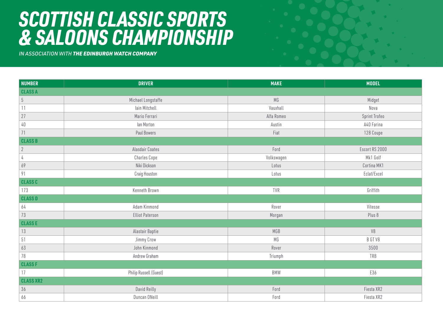#### *SCOTTISH CLASSIC SPORTS & SALOONS CHAMPIONSHIP*

*IN ASSOCIATION WITH THE EDINBURGH WATCH COMPANY*

| <b>NUMBER</b>    | <b>DRIVER</b>          | <b>MAKE</b> | <b>MODEL</b>   |  |
|------------------|------------------------|-------------|----------------|--|
| <b>CLASS A</b>   |                        |             |                |  |
| $5\,$            | Michael Longstaffe     | MG          | Midget         |  |
| 11               | lain Mitchell          | Vauxhall    | Nova           |  |
| 27               | Mario Ferrari          | Alfa Romeo  | Sprint Trofeo  |  |
| $40\,$           | lan Morton             | Austin      | A40 Farina     |  |
| 71               | Paul Bowers            | Fiat        | 128 Coupe      |  |
| <b>CLASS B</b>   |                        |             |                |  |
| $\overline{2}$   | Alasdair Coates        | Ford        | Escort RS 2000 |  |
| 4                | Charles Cope           | Volkswagen  | Mk1 Golf       |  |
| 69               | Niki Dickson           | Lotus       | Cortina MK1    |  |
| 91               | Craig Houston          | Lotus       | Eclat/Excel    |  |
| <b>CLASS C</b>   |                        |             |                |  |
| 173              | Kenneth Brown          | TVR         | Griffith       |  |
| <b>CLASS D</b>   |                        |             |                |  |
| 64               | Adam Kinmond           | Rover       | Vitesse        |  |
| 73               | <b>Elliot Paterson</b> | Morgan      | Plus 8         |  |
| <b>CLASSE</b>    |                        |             |                |  |
| $13$             | Alastair Baptie        | MGB         | $\vee 8$       |  |
| $51$             | Jimmy Crow             | МG          | B GT V8        |  |
| 63               | John Kinmond           | Rover       | 3500           |  |
| 78               | Andrew Graham          | Triumph     | TR8            |  |
| <b>CLASS F</b>   |                        |             |                |  |
| 17               | Philip Russell (Guest) | <b>BMW</b>  | E36            |  |
| <b>CLASS XR2</b> |                        |             |                |  |
| $36\,$           | David Reilly           | Ford        | Fiesta XR2     |  |
| 66               | Duncan ONeill          | Ford        | Fiesta XR2     |  |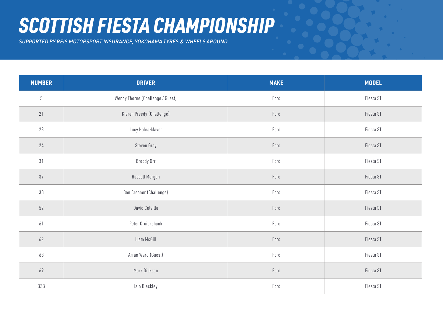#### *SCOTTISH FIESTA CHAMPIONSHIP*

*SUPPORTED BY REIS MOTORSPORT INSURANCE, YOKOHAMA TYRES & WHEELS AROUND*

| <b>NUMBER</b> | <b>DRIVER</b>                    | <b>MAKE</b> | <b>MODEL</b> |
|---------------|----------------------------------|-------------|--------------|
| $5\,$         | Wendy Thorne (Challenge / Guest) | Ford        | Fiesta ST    |
| 21            | Kieren Preedy (Challenge)        | Ford        | Fiesta ST    |
| 23            | Lucy Hales-Maver                 | Ford        | Fiesta ST    |
| 24            | Steven Gray                      | Ford        | Fiesta ST    |
| 31            | Broddy Orr                       | Ford        | Fiesta ST    |
| 37            | Russell Morgan                   | Ford        | Fiesta ST    |
| $38\,$        | Ben Creanor (Challenge)          | Ford        | Fiesta ST    |
| 52            | David Colville                   | Ford        | Fiesta ST    |
| 61            | Peter Cruickshank                | Ford        | Fiesta ST    |
| 62            | Liam McGill                      | Ford        | Fiesta ST    |
| 68            | Arran Ward (Guest)               | Ford        | Fiesta ST    |
| 69            | Mark Dickson                     | Ford        | Fiesta ST    |
| 333           | lain Blackley                    | Ford        | Fiesta ST    |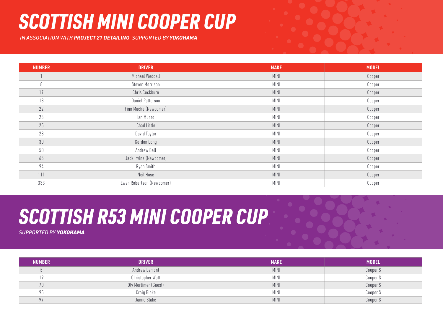### *SCOTTISH MINI COOPER CUP*

 *IN ASSOCIATION WITH PROJECT 21 DETAILING. SUPPORTED BY YOKOHAMA* 

| <b>NUMBER</b> | <b>DRIVER</b>             | <b>MAKE</b> | <b>MODEL</b> |
|---------------|---------------------------|-------------|--------------|
|               | Michael Weddell           | <b>MINI</b> | Cooper       |
| 8             | Steven Morrison           | MINI        | Cooper       |
| 17            | Chris Cockburn            | <b>MINI</b> | Cooper       |
| 18            | Daniel Patterson          | MINI        | Cooper       |
| 22            | Finn Mache (Newcomer)     | MINI        | Cooper       |
| 23            | lan Munro                 | <b>MINI</b> | Cooper       |
| 25            | Chad Little               | <b>MINI</b> | Cooper       |
| 28            | David Taylor              | <b>MINI</b> | Cooper       |
| $30\,$        | Gordon Long               | MINI        | Cooper       |
| 50            | Andrew Bell               | MINI        | Cooper       |
| 65            | Jack Irvine (Newcomer)    | <b>MINI</b> | Cooper       |
| 94            | Ryan Smith                | MINI        | Cooper       |
| 111           | Neil Hose                 | MINI        | Cooper       |
| 333           | Ewan Robertson (Newcomer) | MINI        | Cooper       |

# *SCOTTISH R53 MINI COOPER CUP*

*SUPPORTED BY YOKOHAMA*

| <b>NUMBER</b> | <b>DRIVER</b>        | <b>MAKE</b> | <b>MODEL</b> |
|---------------|----------------------|-------------|--------------|
|               | Andrew Lamont        | <b>MINI</b> | Cooper S     |
| 19            | Christopher Watt     | <b>MINI</b> | Cooper S     |
| 70            | Oly Mortimer (Guest) | <b>MINI</b> | Cooper S     |
| 95            | Craig Blake          | <b>MINI</b> | Cooper S     |
| 97            | Jamie Blake          | <b>MINI</b> | Cooper S     |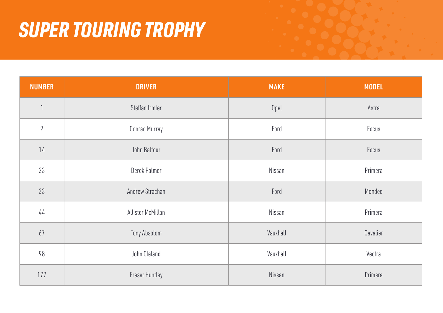# *SUPER TOURING TROPHY*

| <b>NUMBER</b> | <b>DRIVER</b>         | <b>MAKE</b> | <b>MODEL</b> |
|---------------|-----------------------|-------------|--------------|
|               | Steffan Irmler        | Opel        | Astra        |
| $2\,$         | Conrad Murray         | Ford        | Focus        |
| 14            | John Balfour          | Ford        | Focus        |
| 23            | Derek Palmer          | Nissan      | Primera      |
| 33            | Andrew Strachan       | Ford        | Mondeo       |
| $44$          | Allister McMillan     | Nissan      | Primera      |
| 67            | Tony Absolom          | Vauxhall    | Cavalier     |
| 98            | John Cleland          | Vauxhall    | Vectra       |
| 177           | <b>Fraser Huntley</b> | Nissan      | Primera      |